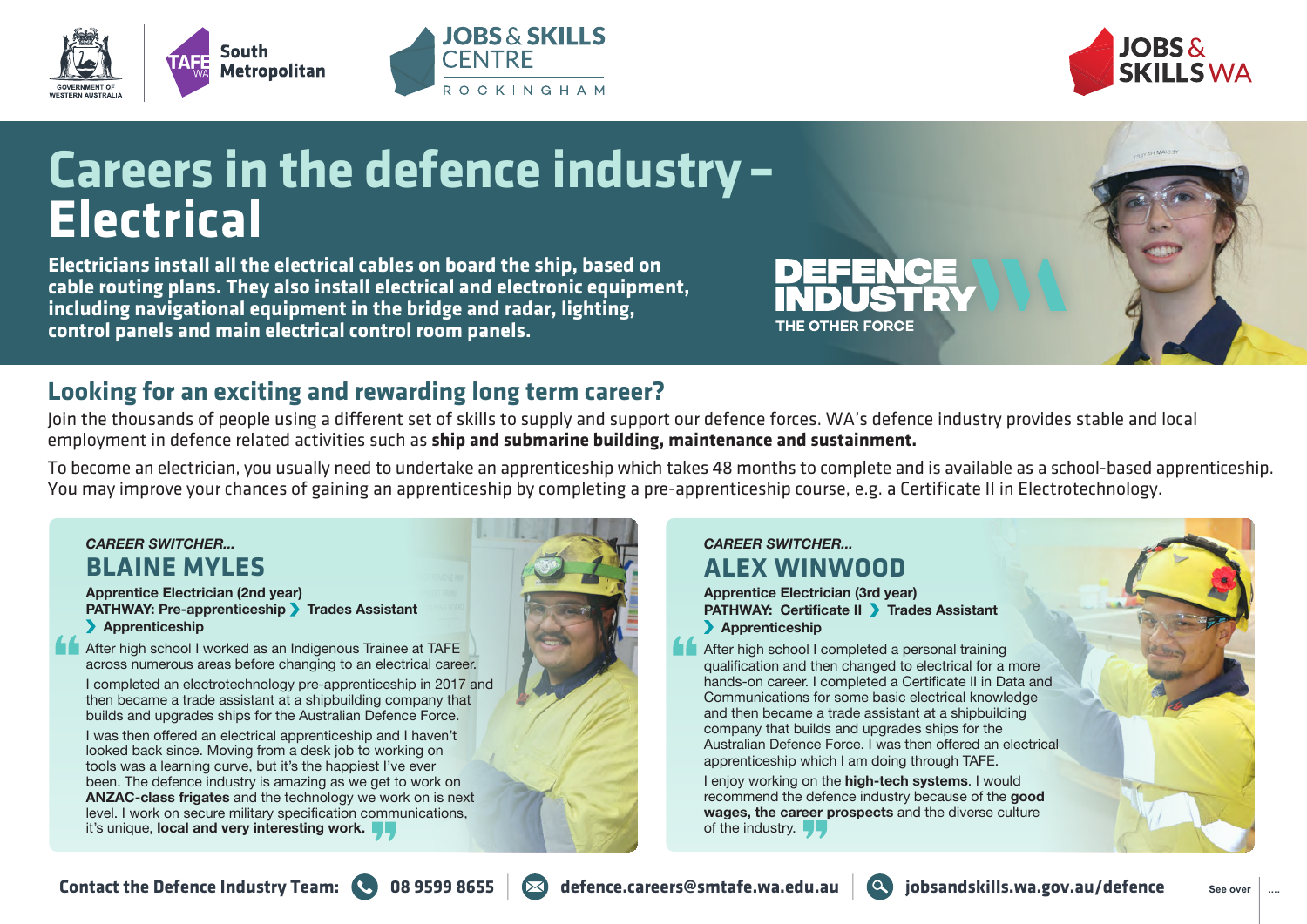



# **Careers in the defence industry – Electrical**

**OBS & SKILLS** 

ROCKINGHAM

**CENTRE** 

**Electricians install all the electrical cables on board the ship, based on cable routing plans. They also install electrical and electronic equipment, including navigational equipment in the bridge and radar, lighting, control panels and main electrical control room panels.**

# **Looking for an exciting and rewarding long term career?**

Join the thousands of people using a different set of skills to supply and support our defence forces. WA's defence industry provides stable and local employment in defence related activities such as **ship and submarine building, maintenance and sustainment.**

To become an electrician, you usually need to undertake an apprenticeship which takes 48 months to complete and is available as a school-based apprenticeship. You may improve your chances of gaining an apprenticeship by completing a pre-apprenticeship course, e.g. a Certificate II in Electrotechnology.

## *CAREER SWITCHER...* **BLAINE MYLES**

#### **Apprentice Electrician (2nd year) PATHWAY: Pre-apprenticeship Trades Assistant Apprenticeship**

After high school I worked as an Indigenous Trainee at TAFE across numerous areas before changing to an electrical career.

I completed an electrotechnology pre-apprenticeship in 2017 and then became a trade assistant at a shipbuilding company that builds and upgrades ships for the Australian Defence Force.

I was then offered an electrical apprenticeship and I haven't looked back since. Moving from a desk job to working on tools was a learning curve, but it's the happiest I've ever been. The defence industry is amazing as we get to work on **ANZAC-class frigates** and the technology we work on is next level. I work on secure military specification communications, it's unique, **local and very interesting work.**



## *CAREER SWITCHER...* **ALEX WINWOOD**

**Apprentice Electrician (3rd year) PATHWAY: Certificate II > Trades Assistant Apprenticeship** 

THE OTHER FORCE

After high school I completed a personal training qualification and then changed to electrical for a more hands-on career. I completed a Certificate II in Data and Communications for some basic electrical knowledge and then became a trade assistant at a shipbuilding company that builds and upgrades ships for the Australian Defence Force. I was then offered an electrical apprenticeship which I am doing through TAFE.

I enjoy working on the **high-tech systems**. I would recommend the defence industry because of the **good wages, the career prospects** and the diverse culture of the industry.  $\blacksquare$